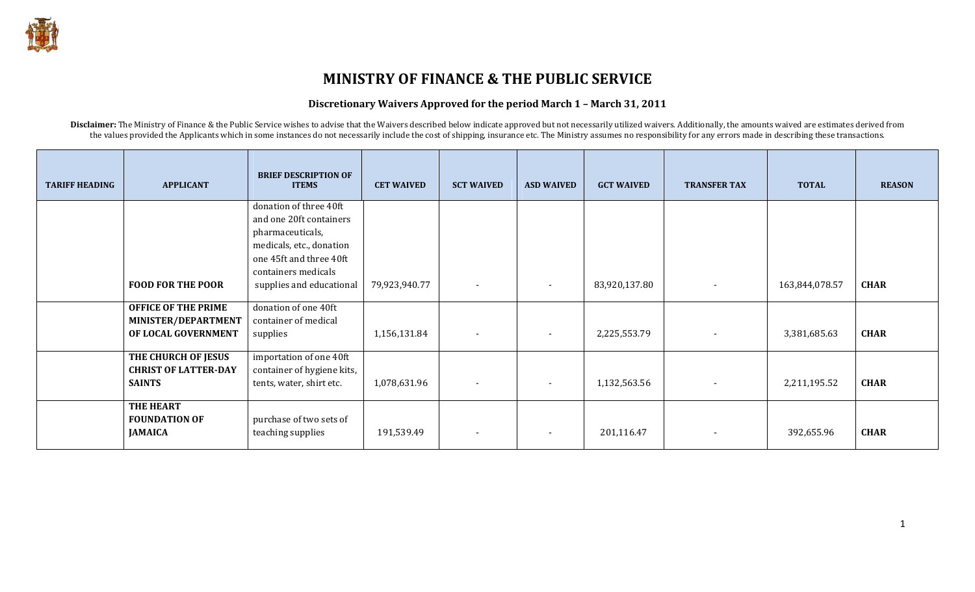

## MINISTRY OF FINANCE & THE PUBLIC SERVICE

## Discretionary Waivers Approved for the period March 1 – March 31, 2011

Disclaimer: The Ministry of Finance & the Public Service wishes to advise that the Waivers described below indicate approved but not necessarily utilized waivers. Additionally, the amounts waived are estimates derived from the values provided the Applicants which in some instances do not necessarily include the cost of shipping, insurance etc. The Ministry assumes no responsibility for any errors made in describing these transactions.

| <b>TARIFF HEADING</b> | <b>APPLICANT</b>            | <b>BRIEF DESCRIPTION OF</b><br><b>ITEMS</b> | <b>CET WAIVED</b> | <b>SCT WAIVED</b>        | <b>ASD WAIVED</b>        | <b>GCT WAIVED</b> | <b>TRANSFER TAX</b>      | <b>TOTAL</b>   | <b>REASON</b> |
|-----------------------|-----------------------------|---------------------------------------------|-------------------|--------------------------|--------------------------|-------------------|--------------------------|----------------|---------------|
|                       |                             | donation of three 40ft                      |                   |                          |                          |                   |                          |                |               |
|                       |                             | and one 20ft containers                     |                   |                          |                          |                   |                          |                |               |
|                       |                             | pharmaceuticals,                            |                   |                          |                          |                   |                          |                |               |
|                       |                             | medicals, etc., donation                    |                   |                          |                          |                   |                          |                |               |
|                       |                             | one 45ft and three 40ft                     |                   |                          |                          |                   |                          |                |               |
|                       |                             | containers medicals                         |                   |                          |                          |                   |                          |                |               |
|                       | <b>FOOD FOR THE POOR</b>    | supplies and educational                    | 79,923,940.77     | $\sim$                   | $\sim$                   | 83,920,137.80     | $\overline{\phantom{a}}$ | 163,844,078.57 | <b>CHAR</b>   |
|                       | <b>OFFICE OF THE PRIME</b>  | donation of one 40ft                        |                   |                          |                          |                   |                          |                |               |
|                       | MINISTER/DEPARTMENT         | container of medical                        |                   |                          |                          |                   |                          |                |               |
|                       | OF LOCAL GOVERNMENT         | supplies                                    | 1,156,131.84      | $\overline{\phantom{a}}$ | $\overline{\phantom{a}}$ | 2,225,553.79      |                          | 3,381,685.63   | <b>CHAR</b>   |
|                       |                             |                                             |                   |                          |                          |                   |                          |                |               |
|                       | THE CHURCH OF JESUS         | importation of one 40ft                     |                   |                          |                          |                   |                          |                |               |
|                       | <b>CHRIST OF LATTER-DAY</b> | container of hygiene kits,                  |                   |                          |                          |                   |                          |                |               |
|                       | <b>SAINTS</b>               | tents, water, shirt etc.                    | 1,078,631.96      | $\blacksquare$           | $\overline{\phantom{a}}$ | 1,132,563.56      |                          | 2,211,195.52   | <b>CHAR</b>   |
|                       | <b>THE HEART</b>            |                                             |                   |                          |                          |                   |                          |                |               |
|                       | <b>FOUNDATION OF</b>        | purchase of two sets of                     |                   |                          |                          |                   |                          |                |               |
|                       | <b>JAMAICA</b>              | teaching supplies                           | 191,539.49        | $\overline{\phantom{a}}$ | $\overline{\phantom{a}}$ | 201,116.47        |                          | 392,655.96     | <b>CHAR</b>   |
|                       |                             |                                             |                   |                          |                          |                   |                          |                |               |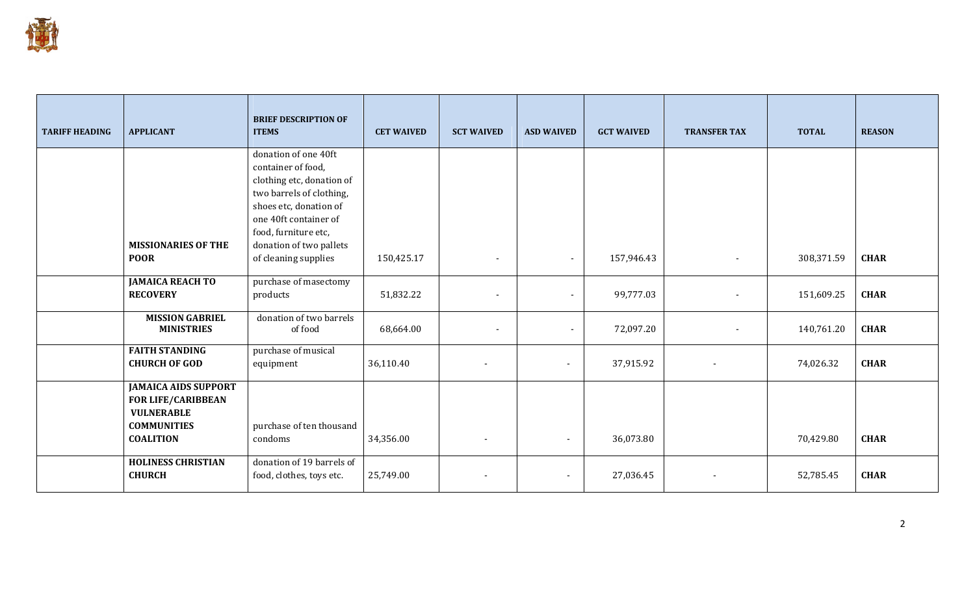

| <b>TARIFF HEADING</b> | <b>APPLICANT</b>                                                                                                        | <b>BRIEF DESCRIPTION OF</b><br><b>ITEMS</b>                                                                                                                                    | <b>CET WAIVED</b> | <b>SCT WAIVED</b>        | <b>ASD WAIVED</b> | <b>GCT WAIVED</b> | <b>TRANSFER TAX</b>          | <b>TOTAL</b> | <b>REASON</b> |
|-----------------------|-------------------------------------------------------------------------------------------------------------------------|--------------------------------------------------------------------------------------------------------------------------------------------------------------------------------|-------------------|--------------------------|-------------------|-------------------|------------------------------|--------------|---------------|
|                       |                                                                                                                         | donation of one 40ft<br>container of food,<br>clothing etc, donation of<br>two barrels of clothing,<br>shoes etc, donation of<br>one 40ft container of<br>food, furniture etc, |                   |                          |                   |                   |                              |              |               |
|                       | <b>MISSIONARIES OF THE</b><br><b>POOR</b>                                                                               | donation of two pallets<br>of cleaning supplies                                                                                                                                | 150,425.17        | $\blacksquare$           | $\blacksquare$    | 157,946.43        | $\qquad \qquad \blacksquare$ | 308,371.59   | <b>CHAR</b>   |
|                       | <b>JAMAICA REACH TO</b><br><b>RECOVERY</b>                                                                              | purchase of masectomy<br>products                                                                                                                                              | 51,832.22         | $\overline{\phantom{a}}$ | $\blacksquare$    | 99,777.03         |                              | 151,609.25   | <b>CHAR</b>   |
|                       | <b>MISSION GABRIEL</b><br><b>MINISTRIES</b>                                                                             | donation of two barrels<br>of food                                                                                                                                             | 68,664.00         | $\blacksquare$           | $\blacksquare$    | 72,097.20         |                              | 140,761.20   | <b>CHAR</b>   |
|                       | <b>FAITH STANDING</b><br><b>CHURCH OF GOD</b>                                                                           | purchase of musical<br>equipment                                                                                                                                               | 36,110.40         |                          | $\blacksquare$    | 37,915.92         |                              | 74,026.32    | <b>CHAR</b>   |
|                       | <b>JAMAICA AIDS SUPPORT</b><br><b>FOR LIFE/CARIBBEAN</b><br><b>VULNERABLE</b><br><b>COMMUNITIES</b><br><b>COALITION</b> | purchase of ten thousand<br>condoms                                                                                                                                            | 34,356.00         |                          | $\blacksquare$    | 36,073.80         |                              | 70,429.80    | <b>CHAR</b>   |
|                       | <b>HOLINESS CHRISTIAN</b><br><b>CHURCH</b>                                                                              | donation of 19 barrels of<br>food, clothes, toys etc.                                                                                                                          | 25,749.00         |                          | $\blacksquare$    | 27,036.45         |                              | 52,785.45    | <b>CHAR</b>   |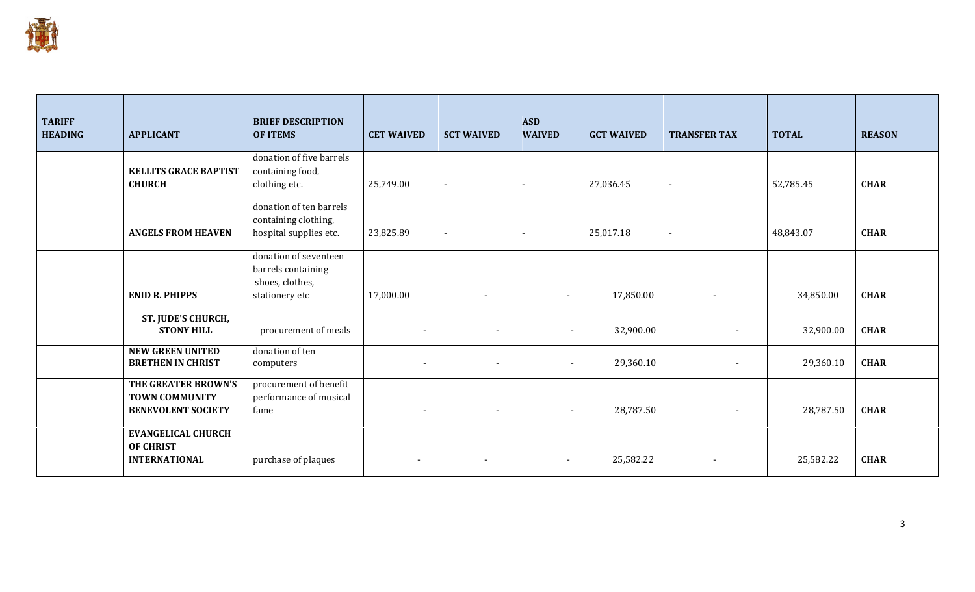

| <b>TARIFF</b><br><b>HEADING</b> | <b>APPLICANT</b>                                                          | <b>BRIEF DESCRIPTION</b><br><b>OF ITEMS</b>                                      | <b>CET WAIVED</b>        | <b>SCT WAIVED</b>        | <b>ASD</b><br><b>WAIVED</b> | <b>GCT WAIVED</b> | <b>TRANSFER TAX</b>      | <b>TOTAL</b> | <b>REASON</b> |
|---------------------------------|---------------------------------------------------------------------------|----------------------------------------------------------------------------------|--------------------------|--------------------------|-----------------------------|-------------------|--------------------------|--------------|---------------|
|                                 | <b>KELLITS GRACE BAPTIST</b><br><b>CHURCH</b>                             | donation of five barrels<br>containing food,<br>clothing etc.                    | 25,749.00                | $\blacksquare$           |                             | 27,036.45         | $\sim$                   | 52,785.45    | <b>CHAR</b>   |
|                                 | <b>ANGELS FROM HEAVEN</b>                                                 | donation of ten barrels<br>containing clothing,<br>hospital supplies etc.        | 23,825.89                | $\blacksquare$           |                             | 25,017.18         | $\sim$                   | 48,843.07    | <b>CHAR</b>   |
|                                 | <b>ENID R. PHIPPS</b>                                                     | donation of seventeen<br>barrels containing<br>shoes, clothes,<br>stationery etc | 17,000.00                | $\blacksquare$           | $\blacksquare$              | 17,850.00         | $\overline{\phantom{a}}$ | 34,850.00    | <b>CHAR</b>   |
|                                 | ST. JUDE'S CHURCH,<br><b>STONY HILL</b>                                   | procurement of meals                                                             | $\blacksquare$           | $\overline{\phantom{a}}$ | $\blacksquare$              | 32,900.00         |                          | 32,900.00    | <b>CHAR</b>   |
|                                 | <b>NEW GREEN UNITED</b><br><b>BRETHEN IN CHRIST</b>                       | donation of ten<br>computers                                                     | $\overline{\phantom{a}}$ | $\overline{\phantom{a}}$ | $\blacksquare$              | 29,360.10         | $\overline{\phantom{a}}$ | 29,360.10    | <b>CHAR</b>   |
|                                 | THE GREATER BROWN'S<br><b>TOWN COMMUNITY</b><br><b>BENEVOLENT SOCIETY</b> | procurement of benefit<br>performance of musical<br>fame                         | $\overline{\phantom{a}}$ | $\overline{\phantom{a}}$ | $\sim$                      | 28,787.50         | $\overline{\phantom{a}}$ | 28,787.50    | <b>CHAR</b>   |
|                                 | <b>EVANGELICAL CHURCH</b><br><b>OF CHRIST</b><br><b>INTERNATIONAL</b>     | purchase of plaques                                                              | $\overline{\phantom{a}}$ | $\overline{\phantom{a}}$ | $\blacksquare$              | 25,582.22         |                          | 25,582.22    | <b>CHAR</b>   |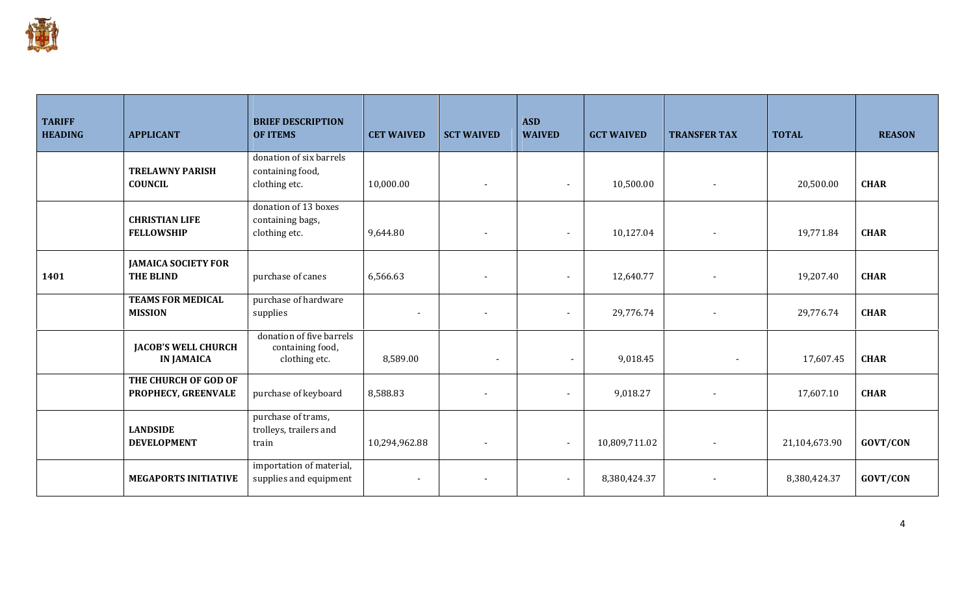

| <b>TARIFF</b><br><b>HEADING</b> | <b>APPLICANT</b>                                | <b>BRIEF DESCRIPTION</b><br><b>OF ITEMS</b>                   | <b>CET WAIVED</b> | <b>SCT WAIVED</b>        | <b>ASD</b><br><b>WAIVED</b> | <b>GCT WAIVED</b> | <b>TRANSFER TAX</b>      | <b>TOTAL</b>  | <b>REASON</b> |
|---------------------------------|-------------------------------------------------|---------------------------------------------------------------|-------------------|--------------------------|-----------------------------|-------------------|--------------------------|---------------|---------------|
|                                 | <b>TRELAWNY PARISH</b><br><b>COUNCIL</b>        | donation of six barrels<br>containing food,<br>clothing etc.  | 10,000.00         | $\blacksquare$           | $\blacksquare$              | 10,500.00         |                          | 20,500.00     | <b>CHAR</b>   |
|                                 | <b>CHRISTIAN LIFE</b><br><b>FELLOWSHIP</b>      | donation of 13 boxes<br>containing bags,<br>clothing etc.     | 9,644.80          | $\blacksquare$           | $\blacksquare$              | 10,127.04         |                          | 19,771.84     | <b>CHAR</b>   |
| 1401                            | <b>JAMAICA SOCIETY FOR</b><br><b>THE BLIND</b>  | purchase of canes                                             | 6,566.63          |                          |                             | 12,640.77         |                          | 19,207.40     | <b>CHAR</b>   |
|                                 | <b>TEAMS FOR MEDICAL</b><br><b>MISSION</b>      | purchase of hardware<br>supplies                              |                   |                          | $\blacksquare$              | 29,776.74         |                          | 29,776.74     | <b>CHAR</b>   |
|                                 | <b>JACOB'S WELL CHURCH</b><br><b>IN JAMAICA</b> | donation of five barrels<br>containing food,<br>clothing etc. | 8,589.00          | $\blacksquare$           | $\blacksquare$              | 9,018.45          | $\overline{\phantom{a}}$ | 17,607.45     | <b>CHAR</b>   |
|                                 | THE CHURCH OF GOD OF<br>PROPHECY, GREENVALE     | purchase of keyboard                                          | 8,588.83          |                          | $\blacksquare$              | 9,018.27          |                          | 17,607.10     | <b>CHAR</b>   |
|                                 | <b>LANDSIDE</b><br><b>DEVELOPMENT</b>           | purchase of trams,<br>trolleys, trailers and<br>train         | 10,294,962.88     | $\overline{\phantom{a}}$ |                             | 10,809,711.02     |                          | 21,104,673.90 | GOVT/CON      |
|                                 | <b>MEGAPORTS INITIATIVE</b>                     | importation of material,<br>supplies and equipment            |                   | $\overline{\phantom{a}}$ | $\sim$                      | 8,380,424.37      |                          | 8,380,424.37  | GOVT/CON      |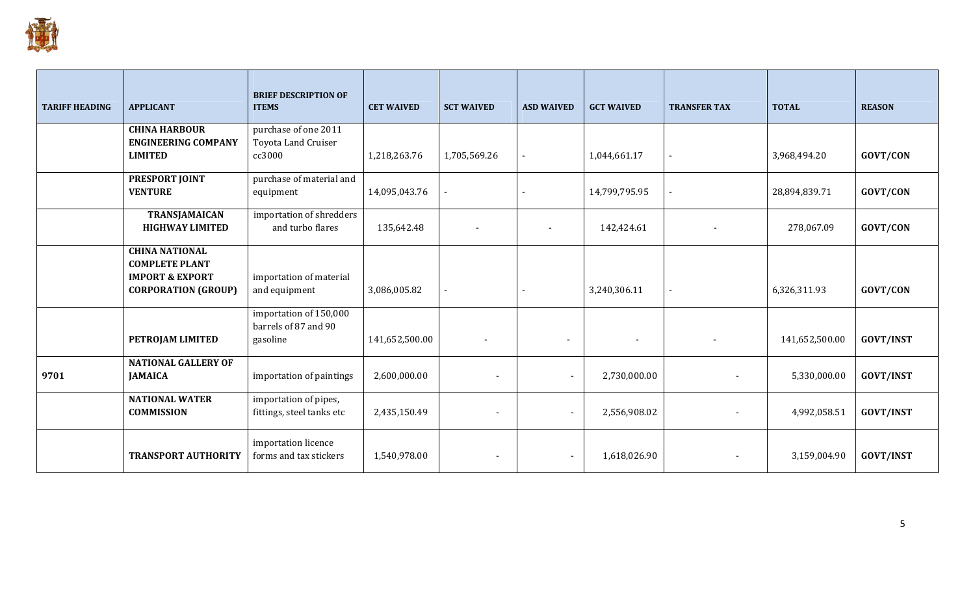

| <b>TARIFF HEADING</b> | <b>APPLICANT</b>                                                             | <b>BRIEF DESCRIPTION OF</b><br><b>ITEMS</b>                | <b>CET WAIVED</b> | <b>SCT WAIVED</b> | <b>ASD WAIVED</b>        | <b>GCT WAIVED</b> | <b>TRANSFER TAX</b> | <b>TOTAL</b>   | <b>REASON</b>    |
|-----------------------|------------------------------------------------------------------------------|------------------------------------------------------------|-------------------|-------------------|--------------------------|-------------------|---------------------|----------------|------------------|
|                       | <b>CHINA HARBOUR</b>                                                         | purchase of one 2011                                       |                   |                   |                          |                   |                     |                |                  |
|                       | <b>ENGINEERING COMPANY</b><br><b>LIMITED</b>                                 | Toyota Land Cruiser<br>cc3000                              | 1,218,263.76      | 1,705,569.26      |                          | 1,044,661.17      | $\blacksquare$      | 3,968,494.20   | GOVT/CON         |
|                       | PRESPORT JOINT<br><b>VENTURE</b>                                             | purchase of material and<br>equipment                      | 14,095,043.76     |                   |                          | 14,799,795.95     |                     | 28,894,839.71  | GOVT/CON         |
|                       | <b>TRANSJAMAICAN</b><br><b>HIGHWAY LIMITED</b>                               | importation of shredders<br>and turbo flares               | 135,642.48        | $\sim$            | $\overline{\phantom{a}}$ | 142,424.61        |                     | 278,067.09     | <b>GOVT/CON</b>  |
|                       | <b>CHINA NATIONAL</b><br><b>COMPLETE PLANT</b><br><b>IMPORT &amp; EXPORT</b> | importation of material                                    |                   |                   |                          |                   |                     |                |                  |
|                       | <b>CORPORATION (GROUP)</b>                                                   | and equipment                                              | 3,086,005.82      |                   |                          | 3,240,306.11      |                     | 6,326,311.93   | GOVT/CON         |
|                       | PETROJAM LIMITED                                                             | importation of 150,000<br>barrels of 87 and 90<br>gasoline | 141,652,500.00    |                   | $\blacksquare$           |                   |                     | 141,652,500.00 | <b>GOVT/INST</b> |
| 9701                  | <b>NATIONAL GALLERY OF</b><br><b>JAMAICA</b>                                 | importation of paintings                                   | 2,600,000.00      |                   | $\sim$                   | 2,730,000.00      |                     | 5,330,000.00   | <b>GOVT/INST</b> |
|                       | <b>NATIONAL WATER</b><br><b>COMMISSION</b>                                   | importation of pipes,<br>fittings, steel tanks etc         | 2,435,150.49      |                   | $\blacksquare$           | 2,556,908.02      |                     | 4,992,058.51   | <b>GOVT/INST</b> |
|                       | <b>TRANSPORT AUTHORITY</b>                                                   | importation licence<br>forms and tax stickers              | 1,540,978.00      | $\blacksquare$    | $\sim$                   | 1,618,026.90      |                     | 3,159,004.90   | <b>GOVT/INST</b> |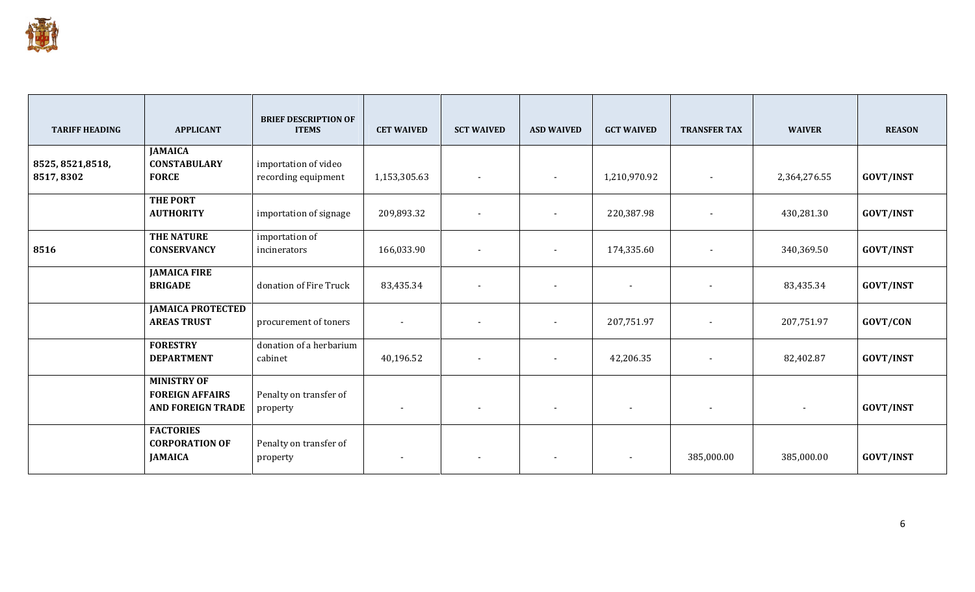

| <b>TARIFF HEADING</b>          | <b>APPLICANT</b>                                                         | <b>BRIEF DESCRIPTION OF</b><br><b>ITEMS</b> | <b>CET WAIVED</b>        | <b>SCT WAIVED</b>        | <b>ASD WAIVED</b>        | <b>GCT WAIVED</b>        | <b>TRANSFER TAX</b>      | <b>WAIVER</b>  | <b>REASON</b>    |
|--------------------------------|--------------------------------------------------------------------------|---------------------------------------------|--------------------------|--------------------------|--------------------------|--------------------------|--------------------------|----------------|------------------|
|                                | <b>JAMAICA</b><br><b>CONSTABULARY</b>                                    |                                             |                          |                          |                          |                          |                          |                |                  |
| 8525, 8521, 8518,<br>8517,8302 | <b>FORCE</b>                                                             | importation of video<br>recording equipment | 1,153,305.63             | $\sim$                   | $\sim$                   | 1,210,970.92             | $\blacksquare$           | 2,364,276.55   | <b>GOVT/INST</b> |
|                                | THE PORT<br><b>AUTHORITY</b>                                             | importation of signage                      | 209,893.32               | $\overline{\phantom{a}}$ | $\sim$                   | 220,387.98               | $\overline{\phantom{a}}$ | 430,281.30     | <b>GOVT/INST</b> |
| 8516                           | THE NATURE<br><b>CONSERVANCY</b>                                         | importation of<br>incinerators              | 166,033.90               | $\sim$                   | $\sim$                   | 174,335.60               | $\blacksquare$           | 340,369.50     | <b>GOVT/INST</b> |
|                                | <b>JAMAICA FIRE</b><br><b>BRIGADE</b>                                    | donation of Fire Truck                      | 83,435.34                | $\blacksquare$           | $\sim$                   | $\blacksquare$           | $\blacksquare$           | 83,435.34      | <b>GOVT/INST</b> |
|                                | <b>JAMAICA PROTECTED</b><br><b>AREAS TRUST</b>                           | procurement of toners                       | $\overline{\phantom{a}}$ | $\blacksquare$           |                          | 207,751.97               | $\blacksquare$           | 207,751.97     | GOVT/CON         |
|                                | <b>FORESTRY</b><br><b>DEPARTMENT</b>                                     | donation of a herbarium<br>cabinet          | 40,196.52                | $\sim$                   | $\overline{\phantom{0}}$ | 42,206.35                | $\blacksquare$           | 82,402.87      | <b>GOVT/INST</b> |
|                                | <b>MINISTRY OF</b><br><b>FOREIGN AFFAIRS</b><br><b>AND FOREIGN TRADE</b> | Penalty on transfer of<br>property          | $\overline{\phantom{a}}$ | $\blacksquare$           | $\sim$                   | $\overline{\phantom{a}}$ | $\sim$                   | $\blacksquare$ | <b>GOVT/INST</b> |
|                                | <b>FACTORIES</b><br><b>CORPORATION OF</b><br><b>JAMAICA</b>              | Penalty on transfer of<br>property          | $\overline{\phantom{a}}$ | $\overline{\phantom{a}}$ |                          | $\overline{\phantom{a}}$ | 385,000.00               | 385,000.00     | <b>GOVT/INST</b> |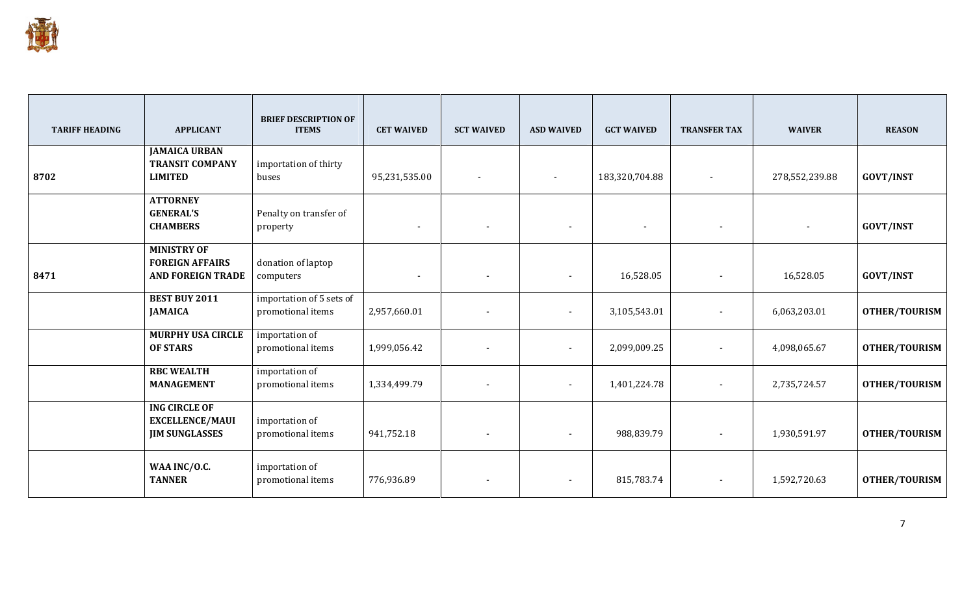

| <b>TARIFF HEADING</b> | <b>APPLICANT</b>                                                         | <b>BRIEF DESCRIPTION OF</b><br><b>ITEMS</b>   | <b>CET WAIVED</b>        | <b>SCT WAIVED</b>        | <b>ASD WAIVED</b>        | <b>GCT WAIVED</b>        | <b>TRANSFER TAX</b>      | <b>WAIVER</b>            | <b>REASON</b>        |
|-----------------------|--------------------------------------------------------------------------|-----------------------------------------------|--------------------------|--------------------------|--------------------------|--------------------------|--------------------------|--------------------------|----------------------|
| 8702                  | <b>JAMAICA URBAN</b><br><b>TRANSIT COMPANY</b><br><b>LIMITED</b>         | importation of thirty<br>buses                | 95,231,535.00            | $\sim$                   | $\sim$                   | 183,320,704.88           | $\blacksquare$           | 278,552,239.88           | <b>GOVT/INST</b>     |
|                       | <b>ATTORNEY</b><br><b>GENERAL'S</b><br><b>CHAMBERS</b>                   | Penalty on transfer of<br>property            | $\overline{\phantom{a}}$ | $\overline{\phantom{a}}$ | $\sim$                   | $\overline{\phantom{a}}$ | $\sim$                   | $\overline{\phantom{a}}$ | <b>GOVT/INST</b>     |
| 8471                  | <b>MINISTRY OF</b><br><b>FOREIGN AFFAIRS</b><br><b>AND FOREIGN TRADE</b> | donation of laptop<br>computers               | $\overline{\phantom{a}}$ | $\blacksquare$           | $\overline{\phantom{a}}$ | 16,528.05                | $\overline{\phantom{a}}$ | 16,528.05                | <b>GOVT/INST</b>     |
|                       | <b>BEST BUY 2011</b><br><b>JAMAICA</b>                                   | importation of 5 sets of<br>promotional items | 2,957,660.01             | $\blacksquare$           | $\blacksquare$           | 3,105,543.01             |                          | 6,063,203.01             | <b>OTHER/TOURISM</b> |
|                       | <b>MURPHY USA CIRCLE</b><br><b>OF STARS</b>                              | importation of<br>promotional items           | 1,999,056.42             | $\overline{\phantom{a}}$ | $\blacksquare$           | 2,099,009.25             |                          | 4,098,065.67             | <b>OTHER/TOURISM</b> |
|                       | <b>RBC WEALTH</b><br><b>MANAGEMENT</b>                                   | importation of<br>promotional items           | 1,334,499.79             | $\sim$                   | $\sim$                   | 1,401,224.78             | $\sim$                   | 2,735,724.57             | <b>OTHER/TOURISM</b> |
|                       | <b>ING CIRCLE OF</b><br><b>EXCELLENCE/MAUI</b><br><b>JIM SUNGLASSES</b>  | importation of<br>promotional items           | 941,752.18               | $\sim$                   | $\sim$                   | 988,839.79               | $\overline{\phantom{a}}$ | 1,930,591.97             | <b>OTHER/TOURISM</b> |
|                       | WAA INC/O.C.<br><b>TANNER</b>                                            | importation of<br>promotional items           | 776,936.89               | $\overline{\phantom{a}}$ | $\sim$                   | 815,783.74               | $\overline{\phantom{a}}$ | 1,592,720.63             | <b>OTHER/TOURISM</b> |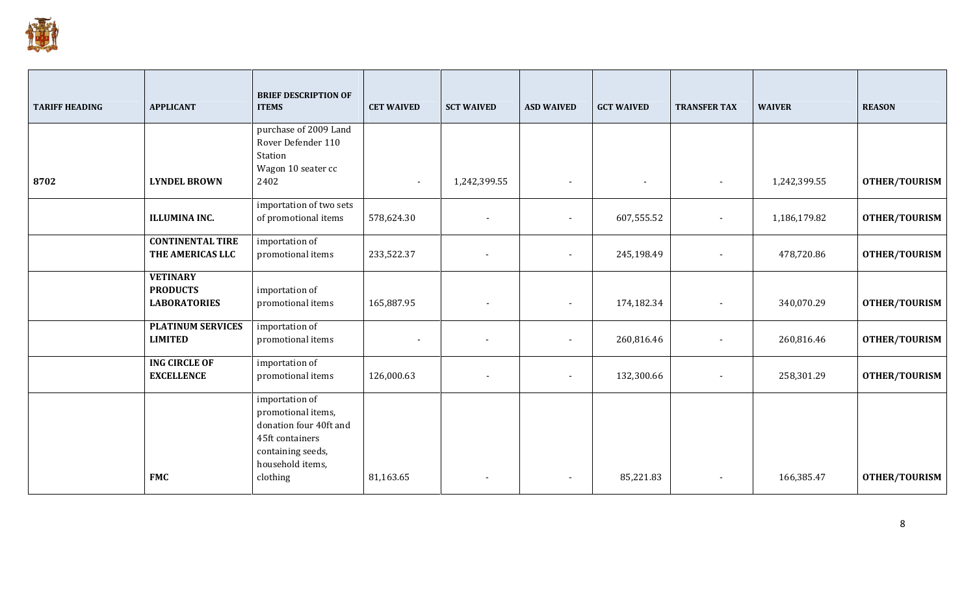

| <b>TARIFF HEADING</b> | <b>APPLICANT</b>                                          | <b>BRIEF DESCRIPTION OF</b><br><b>ITEMS</b>                                                                                            | <b>CET WAIVED</b> | <b>SCT WAIVED</b>        | <b>ASD WAIVED</b>        | <b>GCT WAIVED</b> | <b>TRANSFER TAX</b>      | <b>WAIVER</b> | <b>REASON</b>        |
|-----------------------|-----------------------------------------------------------|----------------------------------------------------------------------------------------------------------------------------------------|-------------------|--------------------------|--------------------------|-------------------|--------------------------|---------------|----------------------|
|                       |                                                           | purchase of 2009 Land<br>Rover Defender 110<br>Station                                                                                 |                   |                          |                          |                   |                          |               |                      |
| 8702                  | <b>LYNDEL BROWN</b>                                       | Wagon 10 seater cc<br>2402                                                                                                             | $\blacksquare$    | 1,242,399.55             | $\blacksquare$           | $\blacksquare$    |                          | 1,242,399.55  | <b>OTHER/TOURISM</b> |
|                       | <b>ILLUMINA INC.</b>                                      | importation of two sets<br>of promotional items                                                                                        | 578,624.30        | $\overline{\phantom{a}}$ | $\blacksquare$           | 607,555.52        | $\overline{\phantom{a}}$ | 1,186,179.82  | <b>OTHER/TOURISM</b> |
|                       | <b>CONTINENTAL TIRE</b><br>THE AMERICAS LLC               | importation of<br>promotional items                                                                                                    | 233,522.37        | $\overline{\phantom{a}}$ | $\blacksquare$           | 245,198.49        |                          | 478,720.86    | <b>OTHER/TOURISM</b> |
|                       | <b>VETINARY</b><br><b>PRODUCTS</b><br><b>LABORATORIES</b> | importation of<br>promotional items                                                                                                    | 165,887.95        | $\overline{\phantom{a}}$ | $\blacksquare$           | 174,182.34        | $\overline{\phantom{a}}$ | 340,070.29    | <b>OTHER/TOURISM</b> |
|                       | <b>PLATINUM SERVICES</b><br><b>LIMITED</b>                | importation of<br>promotional items                                                                                                    |                   | $\blacksquare$           | $\blacksquare$           | 260,816.46        |                          | 260,816.46    | <b>OTHER/TOURISM</b> |
|                       | <b>ING CIRCLE OF</b><br><b>EXCELLENCE</b>                 | importation of<br>promotional items                                                                                                    | 126,000.63        | $\overline{\phantom{a}}$ | $\blacksquare$           | 132,300.66        | $\overline{\phantom{a}}$ | 258,301.29    | <b>OTHER/TOURISM</b> |
|                       | <b>FMC</b>                                                | importation of<br>promotional items,<br>donation four 40ft and<br>45ft containers<br>containing seeds,<br>household items,<br>clothing | 81,163.65         |                          | $\overline{\phantom{a}}$ | 85,221.83         |                          | 166,385.47    | <b>OTHER/TOURISM</b> |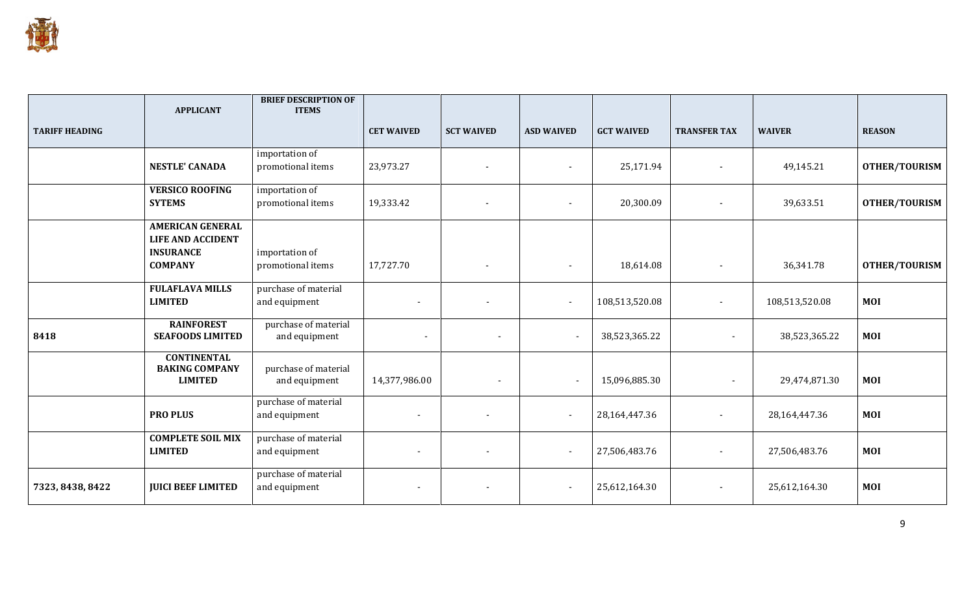

|                       | <b>APPLICANT</b>                                                                          | <b>BRIEF DESCRIPTION OF</b><br><b>ITEMS</b> |                   |                   |                          |                   |                     |                |                      |
|-----------------------|-------------------------------------------------------------------------------------------|---------------------------------------------|-------------------|-------------------|--------------------------|-------------------|---------------------|----------------|----------------------|
| <b>TARIFF HEADING</b> |                                                                                           |                                             | <b>CET WAIVED</b> | <b>SCT WAIVED</b> | <b>ASD WAIVED</b>        | <b>GCT WAIVED</b> | <b>TRANSFER TAX</b> | <b>WAIVER</b>  | <b>REASON</b>        |
|                       | <b>NESTLE' CANADA</b>                                                                     | importation of<br>promotional items         | 23,973.27         | $\blacksquare$    | $\blacksquare$           | 25,171.94         |                     | 49,145.21      | <b>OTHER/TOURISM</b> |
|                       | <b>VERSICO ROOFING</b><br><b>SYTEMS</b>                                                   | importation of<br>promotional items         | 19,333.42         |                   | $\sim$                   | 20,300.09         |                     | 39,633.51      | <b>OTHER/TOURISM</b> |
|                       | <b>AMERICAN GENERAL</b><br><b>LIFE AND ACCIDENT</b><br><b>INSURANCE</b><br><b>COMPANY</b> | importation of<br>promotional items         | 17,727.70         | $\blacksquare$    | $\blacksquare$           | 18,614.08         | $\blacksquare$      | 36,341.78      | <b>OTHER/TOURISM</b> |
|                       | <b>FULAFLAVA MILLS</b><br><b>LIMITED</b>                                                  | purchase of material<br>and equipment       |                   |                   | $\sim$                   | 108,513,520.08    | $\sim$              | 108,513,520.08 | <b>MOI</b>           |
| 8418                  | <b>RAINFOREST</b><br><b>SEAFOODS LIMITED</b>                                              | purchase of material<br>and equipment       | $\blacksquare$    |                   | $\overline{\phantom{a}}$ | 38,523,365.22     | $\sim$              | 38,523,365.22  | <b>MOI</b>           |
|                       | <b>CONTINENTAL</b><br><b>BAKING COMPANY</b><br><b>LIMITED</b>                             | purchase of material<br>and equipment       | 14,377,986.00     |                   | $\overline{\phantom{a}}$ | 15,096,885.30     | $\sim$              | 29,474,871.30  | <b>MOI</b>           |
|                       | <b>PRO PLUS</b>                                                                           | purchase of material<br>and equipment       |                   |                   | $\sim$                   | 28,164,447.36     |                     | 28,164,447.36  | <b>MOI</b>           |
|                       | <b>COMPLETE SOIL MIX</b><br><b>LIMITED</b>                                                | purchase of material<br>and equipment       |                   |                   | $\sim$                   | 27,506,483.76     |                     | 27,506,483.76  | <b>MOI</b>           |
| 7323, 8438, 8422      | <b>JUICI BEEF LIMITED</b>                                                                 | purchase of material<br>and equipment       |                   |                   | $\sim$                   | 25,612,164.30     |                     | 25,612,164.30  | <b>MOI</b>           |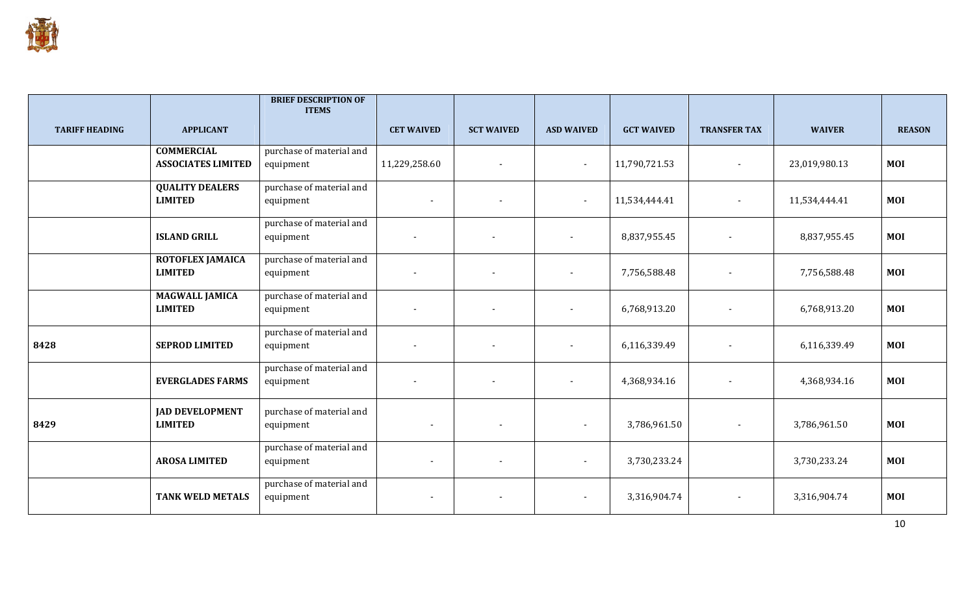

|                       |                                                | <b>BRIEF DESCRIPTION OF</b><br><b>ITEMS</b> |                          |                          |                          |                   |                          |               |               |
|-----------------------|------------------------------------------------|---------------------------------------------|--------------------------|--------------------------|--------------------------|-------------------|--------------------------|---------------|---------------|
| <b>TARIFF HEADING</b> | <b>APPLICANT</b>                               |                                             | <b>CET WAIVED</b>        | <b>SCT WAIVED</b>        | <b>ASD WAIVED</b>        | <b>GCT WAIVED</b> | <b>TRANSFER TAX</b>      | <b>WAIVER</b> | <b>REASON</b> |
|                       | <b>COMMERCIAL</b><br><b>ASSOCIATES LIMITED</b> | purchase of material and<br>equipment       | 11,229,258.60            | $\overline{\phantom{a}}$ | $\blacksquare$           | 11,790,721.53     | $\overline{\phantom{a}}$ | 23,019,980.13 | <b>MOI</b>    |
|                       | <b>QUALITY DEALERS</b><br><b>LIMITED</b>       | purchase of material and<br>equipment       |                          | $\overline{\phantom{a}}$ | $\sim$                   | 11,534,444.41     | $\overline{\phantom{a}}$ | 11,534,444.41 | <b>MOI</b>    |
|                       | <b>ISLAND GRILL</b>                            | purchase of material and<br>equipment       | $\blacksquare$           | $\blacksquare$           | $\overline{\phantom{a}}$ | 8,837,955.45      | $\overline{\phantom{a}}$ | 8,837,955.45  | <b>MOI</b>    |
|                       | ROTOFLEX JAMAICA<br><b>LIMITED</b>             | purchase of material and<br>equipment       | $\blacksquare$           |                          |                          | 7,756,588.48      |                          | 7,756,588.48  | <b>MOI</b>    |
|                       | <b>MAGWALL JAMICA</b><br><b>LIMITED</b>        | purchase of material and<br>equipment       | $\overline{\phantom{a}}$ |                          |                          | 6,768,913.20      | $\sim$                   | 6,768,913.20  | <b>MOI</b>    |
| 8428                  | <b>SEPROD LIMITED</b>                          | purchase of material and<br>equipment       | $\overline{\phantom{a}}$ |                          |                          | 6,116,339.49      |                          | 6,116,339.49  | <b>MOI</b>    |
|                       | <b>EVERGLADES FARMS</b>                        | purchase of material and<br>equipment       | $\overline{\phantom{a}}$ | $\overline{\phantom{a}}$ | $\blacksquare$           | 4,368,934.16      |                          | 4,368,934.16  | <b>MOI</b>    |
| 8429                  | <b>JAD DEVELOPMENT</b><br><b>LIMITED</b>       | purchase of material and<br>equipment       |                          | $\overline{\phantom{a}}$ | $\overline{\phantom{a}}$ | 3,786,961.50      |                          | 3,786,961.50  | <b>MOI</b>    |
|                       | <b>AROSA LIMITED</b>                           | purchase of material and<br>equipment       | $\sim$                   | $\overline{\phantom{a}}$ | $\sim$                   | 3,730,233.24      |                          | 3,730,233.24  | <b>MOI</b>    |
|                       | <b>TANK WELD METALS</b>                        | purchase of material and<br>equipment       | $\blacksquare$           | $\overline{\phantom{a}}$ | $\blacksquare$           | 3,316,904.74      | $\overline{\phantom{a}}$ | 3,316,904.74  | <b>MOI</b>    |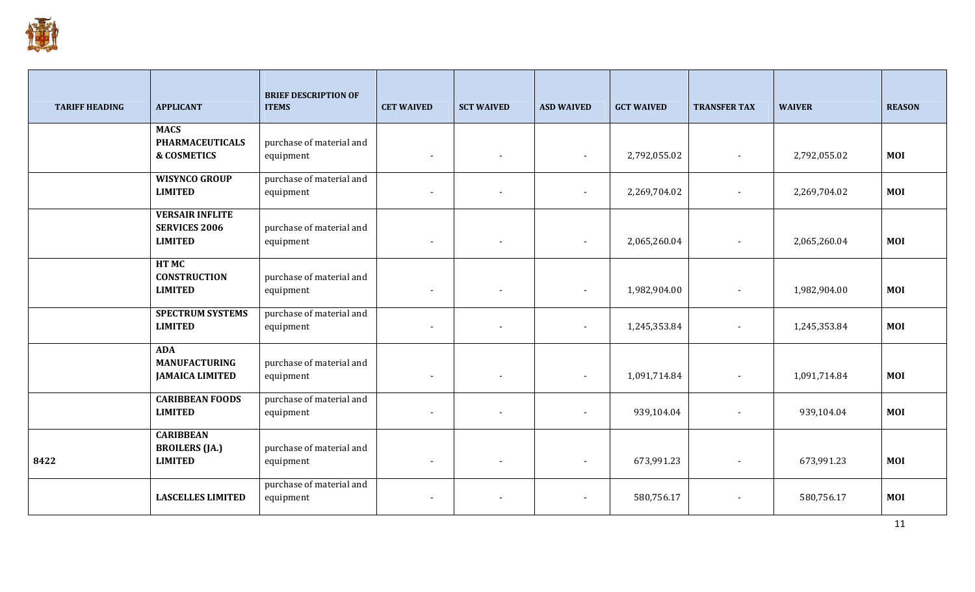

| <b>TARIFF HEADING</b> | <b>APPLICANT</b>                               | <b>BRIEF DESCRIPTION OF</b><br><b>ITEMS</b> | <b>CET WAIVED</b>        | <b>SCT WAIVED</b>        | <b>ASD WAIVED</b>        | <b>GCT WAIVED</b> | <b>TRANSFER TAX</b>      | <b>WAIVER</b> | <b>REASON</b> |
|-----------------------|------------------------------------------------|---------------------------------------------|--------------------------|--------------------------|--------------------------|-------------------|--------------------------|---------------|---------------|
|                       | <b>MACS</b><br><b>PHARMACEUTICALS</b>          | purchase of material and                    |                          |                          |                          |                   |                          |               |               |
|                       | <b>&amp; COSMETICS</b>                         | equipment                                   | $\sim$                   | $\overline{\phantom{a}}$ | $\sim$                   | 2,792,055.02      |                          | 2,792,055.02  | <b>MOI</b>    |
|                       | <b>WISYNCO GROUP</b>                           | purchase of material and                    |                          |                          |                          |                   |                          |               |               |
|                       | <b>LIMITED</b>                                 | equipment                                   | $\sim$                   | $\overline{\phantom{a}}$ | $\overline{\phantom{a}}$ | 2,269,704.02      |                          | 2,269,704.02  | <b>MOI</b>    |
|                       | <b>VERSAIR INFLITE</b><br><b>SERVICES 2006</b> |                                             |                          |                          |                          |                   |                          |               |               |
|                       | <b>LIMITED</b>                                 | purchase of material and<br>equipment       | $\sim$                   | $\overline{\phantom{a}}$ |                          | 2,065,260.04      |                          | 2,065,260.04  | <b>MOI</b>    |
|                       | HT MC                                          |                                             |                          |                          |                          |                   |                          |               |               |
|                       | <b>CONSTRUCTION</b><br><b>LIMITED</b>          | purchase of material and<br>equipment       | $\sim$                   | $\overline{\phantom{a}}$ | $\sim$                   | 1,982,904.00      |                          | 1,982,904.00  | <b>MOI</b>    |
|                       | <b>SPECTRUM SYSTEMS</b>                        | purchase of material and                    |                          |                          |                          |                   |                          |               |               |
|                       | <b>LIMITED</b>                                 | equipment                                   | $\sim$                   | $\overline{\phantom{a}}$ | $\sim$                   | 1,245,353.84      |                          | 1,245,353.84  | <b>MOI</b>    |
|                       | <b>ADA</b><br><b>MANUFACTURING</b>             | purchase of material and                    |                          |                          |                          |                   |                          |               |               |
|                       | <b>JAMAICA LIMITED</b>                         | equipment                                   | $\sim$                   | $\blacksquare$           | $\sim$                   | 1,091,714.84      | $\overline{\phantom{a}}$ | 1,091,714.84  | <b>MOI</b>    |
|                       | <b>CARIBBEAN FOODS</b>                         | purchase of material and                    |                          |                          |                          |                   |                          |               |               |
|                       | <b>LIMITED</b>                                 | equipment                                   | $\sim$                   | $\overline{\phantom{a}}$ | $\blacksquare$           | 939,104.04        |                          | 939,104.04    | <b>MOI</b>    |
|                       | <b>CARIBBEAN</b><br><b>BROILERS</b> (JA.)      | purchase of material and                    |                          |                          |                          |                   |                          |               |               |
| 8422                  | <b>LIMITED</b>                                 | equipment                                   | $\overline{\phantom{a}}$ | $\overline{\phantom{a}}$ | $\overline{\phantom{a}}$ | 673,991.23        |                          | 673,991.23    | <b>MOI</b>    |
|                       | <b>LASCELLES LIMITED</b>                       | purchase of material and<br>equipment       |                          |                          |                          | 580,756.17        |                          | 580,756.17    | <b>MOI</b>    |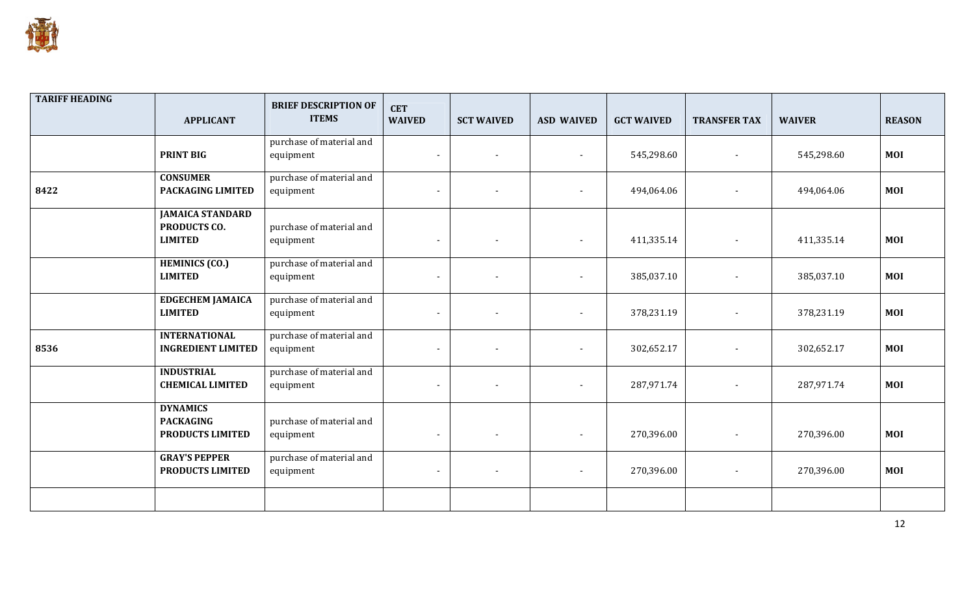

| <b>TARIFF HEADING</b> | <b>APPLICANT</b>                                                 | <b>BRIEF DESCRIPTION OF</b><br><b>ITEMS</b> | <b>CET</b><br><b>WAIVED</b> | <b>SCT WAIVED</b>        | <b>ASD WAIVED</b>        | <b>GCT WAIVED</b> | <b>TRANSFER TAX</b> | <b>WAIVER</b> | <b>REASON</b> |
|-----------------------|------------------------------------------------------------------|---------------------------------------------|-----------------------------|--------------------------|--------------------------|-------------------|---------------------|---------------|---------------|
|                       | <b>PRINT BIG</b>                                                 | purchase of material and<br>equipment       | $\blacksquare$              |                          |                          | 545,298.60        |                     | 545,298.60    | <b>MOI</b>    |
| 8422                  | <b>CONSUMER</b><br>PACKAGING LIMITED                             | purchase of material and<br>equipment       | $\blacksquare$              | $\overline{\phantom{0}}$ | $\sim$                   | 494,064.06        |                     | 494,064.06    | <b>MOI</b>    |
|                       | <b>JAMAICA STANDARD</b><br><b>PRODUCTS CO.</b><br><b>LIMITED</b> | purchase of material and<br>equipment       | $\blacksquare$              | $\overline{\phantom{a}}$ | $\sim$                   | 411,335.14        |                     | 411,335.14    | <b>MOI</b>    |
|                       | <b>HEMINICS (CO.)</b><br><b>LIMITED</b>                          | purchase of material and<br>equipment       | $\sim$                      |                          |                          | 385,037.10        |                     | 385,037.10    | MOI           |
|                       | <b>EDGECHEM JAMAICA</b><br><b>LIMITED</b>                        | purchase of material and<br>equipment       | $\blacksquare$              | $\blacksquare$           | $\sim$                   | 378,231.19        |                     | 378,231.19    | MOI           |
| 8536                  | <b>INTERNATIONAL</b><br><b>INGREDIENT LIMITED</b>                | purchase of material and<br>equipment       | $\blacksquare$              |                          |                          | 302,652.17        |                     | 302,652.17    | MOI           |
|                       | <b>INDUSTRIAL</b><br><b>CHEMICAL LIMITED</b>                     | purchase of material and<br>equipment       | $\blacksquare$              | $\overline{\phantom{a}}$ | $\sim$                   | 287,971.74        |                     | 287,971.74    | MOI           |
|                       | <b>DYNAMICS</b><br><b>PACKAGING</b><br>PRODUCTS LIMITED          | purchase of material and<br>equipment       | $\blacksquare$              | $\overline{\phantom{0}}$ | $\overline{\phantom{a}}$ | 270,396.00        |                     | 270,396.00    | MOI           |
|                       | <b>GRAY'S PEPPER</b><br>PRODUCTS LIMITED                         | purchase of material and<br>equipment       | $\blacksquare$              | $\overline{\phantom{a}}$ | $\sim$                   | 270,396.00        |                     | 270,396.00    | MOI           |
|                       |                                                                  |                                             |                             |                          |                          |                   |                     |               |               |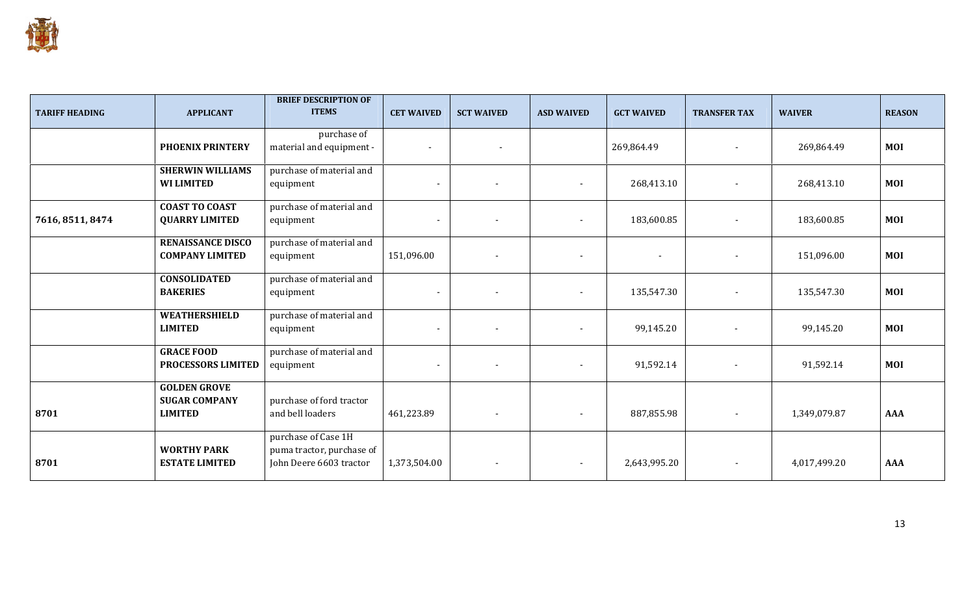

| <b>TARIFF HEADING</b> | <b>APPLICANT</b>                                              | <b>BRIEF DESCRIPTION OF</b><br><b>ITEMS</b>                                 | <b>CET WAIVED</b>        | <b>SCT WAIVED</b>        | <b>ASD WAIVED</b>        | <b>GCT WAIVED</b>        | <b>TRANSFER TAX</b>      | <b>WAIVER</b> | <b>REASON</b> |
|-----------------------|---------------------------------------------------------------|-----------------------------------------------------------------------------|--------------------------|--------------------------|--------------------------|--------------------------|--------------------------|---------------|---------------|
|                       | <b>PHOENIX PRINTERY</b>                                       | purchase of<br>material and equipment -                                     | $\blacksquare$           | $\overline{\phantom{a}}$ |                          | 269,864.49               |                          | 269,864.49    | <b>MOI</b>    |
|                       | <b>SHERWIN WILLIAMS</b><br><b>WI LIMITED</b>                  | purchase of material and<br>equipment                                       | $\blacksquare$           |                          | $\overline{\phantom{a}}$ | 268,413.10               |                          | 268,413.10    | <b>MOI</b>    |
| 7616, 8511, 8474      | <b>COAST TO COAST</b><br><b>QUARRY LIMITED</b>                | purchase of material and<br>equipment                                       | $\blacksquare$           |                          | $\overline{\phantom{a}}$ | 183,600.85               | $\overline{\phantom{a}}$ | 183,600.85    | <b>MOI</b>    |
|                       | <b>RENAISSANCE DISCO</b><br><b>COMPANY LIMITED</b>            | purchase of material and<br>equipment                                       | 151,096.00               | $\overline{\phantom{a}}$ | $\overline{\phantom{a}}$ | $\overline{\phantom{a}}$ | $\overline{\phantom{a}}$ | 151,096.00    | <b>MOI</b>    |
|                       | <b>CONSOLIDATED</b><br><b>BAKERIES</b>                        | purchase of material and<br>equipment                                       | $\blacksquare$           |                          | $\overline{\phantom{a}}$ | 135,547.30               | $\overline{\phantom{a}}$ | 135,547.30    | <b>MOI</b>    |
|                       | <b>WEATHERSHIELD</b><br><b>LIMITED</b>                        | purchase of material and<br>equipment                                       | $\blacksquare$           | $\overline{\phantom{a}}$ |                          | 99,145.20                | $\overline{\phantom{a}}$ | 99,145.20     | <b>MOI</b>    |
|                       | <b>GRACE FOOD</b><br>PROCESSORS LIMITED                       | purchase of material and<br>equipment                                       | $\overline{\phantom{a}}$ |                          |                          | 91,592.14                | $\overline{\phantom{a}}$ | 91,592.14     | <b>MOI</b>    |
| 8701                  | <b>GOLDEN GROVE</b><br><b>SUGAR COMPANY</b><br><b>LIMITED</b> | purchase of ford tractor<br>and bell loaders                                | 461,223.89               | $\overline{\phantom{a}}$ | $\blacksquare$           | 887,855.98               | $\overline{\phantom{a}}$ | 1,349,079.87  | <b>AAA</b>    |
| 8701                  | <b>WORTHY PARK</b><br><b>ESTATE LIMITED</b>                   | purchase of Case 1H<br>puma tractor, purchase of<br>John Deere 6603 tractor | 1,373,504.00             | $\overline{\phantom{a}}$ |                          | 2,643,995.20             | $\blacksquare$           | 4,017,499.20  | <b>AAA</b>    |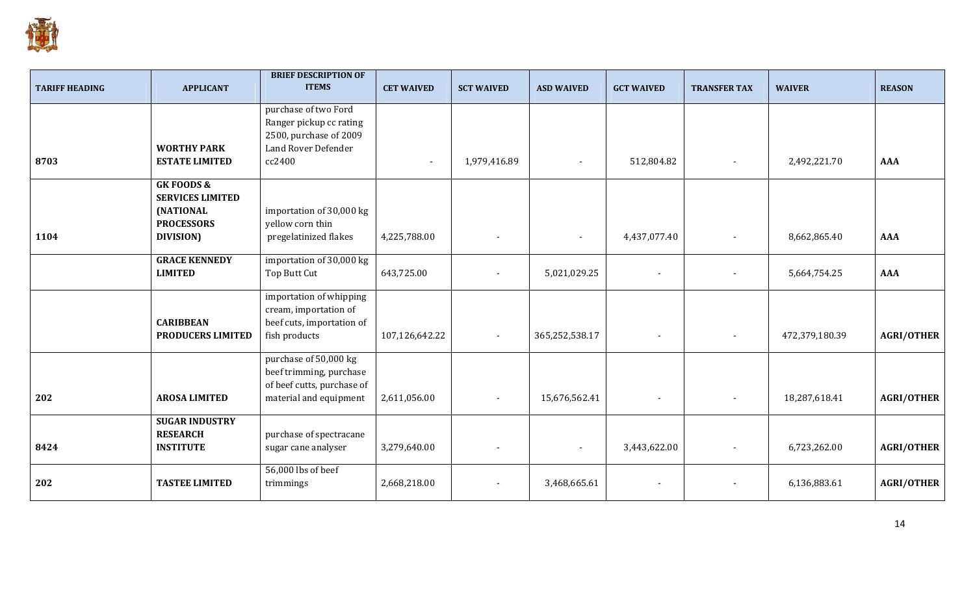

| <b>TARIFF HEADING</b> | <b>APPLICANT</b>                                                                                       | <b>BRIEF DESCRIPTION OF</b><br><b>ITEMS</b>                                                              | <b>CET WAIVED</b> | <b>SCT WAIVED</b>        | <b>ASD WAIVED</b> | <b>GCT WAIVED</b>        | <b>TRANSFER TAX</b>      | <b>WAIVER</b>  | <b>REASON</b>     |
|-----------------------|--------------------------------------------------------------------------------------------------------|----------------------------------------------------------------------------------------------------------|-------------------|--------------------------|-------------------|--------------------------|--------------------------|----------------|-------------------|
|                       | <b>WORTHY PARK</b>                                                                                     | purchase of two Ford<br>Ranger pickup cc rating<br>2500, purchase of 2009<br>Land Rover Defender         |                   |                          |                   |                          |                          |                |                   |
| 8703                  | <b>ESTATE LIMITED</b>                                                                                  | cc2400                                                                                                   | $\blacksquare$    | 1,979,416.89             | $\blacksquare$    | 512,804.82               | $\overline{\phantom{a}}$ | 2,492,221.70   | <b>AAA</b>        |
| 1104                  | <b>GK FOODS &amp;</b><br><b>SERVICES LIMITED</b><br><b>(NATIONAL</b><br><b>PROCESSORS</b><br>DIVISION) | importation of 30,000 kg<br>yellow corn thin<br>pregelatinized flakes                                    | 4,225,788.00      |                          |                   | 4,437,077.40             | $\blacksquare$           | 8,662,865.40   | <b>AAA</b>        |
|                       | <b>GRACE KENNEDY</b><br><b>LIMITED</b>                                                                 | importation of 30,000 kg<br>Top Butt Cut                                                                 | 643,725.00        | $\overline{\phantom{a}}$ | 5,021,029.25      | $\sim$                   | $\overline{\phantom{a}}$ | 5,664,754.25   | <b>AAA</b>        |
|                       | <b>CARIBBEAN</b><br><b>PRODUCERS LIMITED</b>                                                           | importation of whipping<br>cream, importation of<br>beef cuts, importation of<br>fish products           | 107,126,642.22    |                          | 365,252,538.17    | $\sim$                   | $\overline{\phantom{a}}$ | 472,379,180.39 | <b>AGRI/OTHER</b> |
| 202                   | <b>AROSA LIMITED</b>                                                                                   | purchase of 50,000 kg<br>beef trimming, purchase<br>of beef cutts, purchase of<br>material and equipment | 2,611,056.00      |                          | 15,676,562.41     |                          |                          | 18,287,618.41  | <b>AGRI/OTHER</b> |
| 8424                  | <b>SUGAR INDUSTRY</b><br><b>RESEARCH</b><br><b>INSTITUTE</b>                                           | purchase of spectracane<br>sugar cane analyser                                                           | 3,279,640.00      |                          |                   | 3,443,622.00             |                          | 6,723,262.00   | <b>AGRI/OTHER</b> |
| 202                   | <b>TASTEE LIMITED</b>                                                                                  | 56,000 lbs of beef<br>trimmings                                                                          | 2,668,218.00      |                          | 3,468,665.61      | $\overline{\phantom{a}}$ | $\overline{\phantom{a}}$ | 6,136,883.61   | <b>AGRI/OTHER</b> |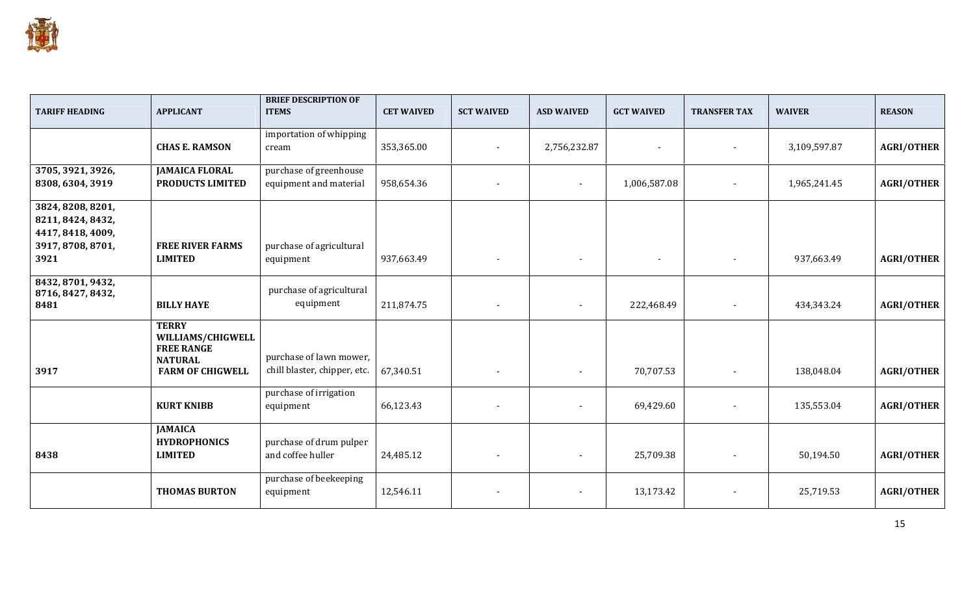

| <b>TARIFF HEADING</b>                                                                    | <b>APPLICANT</b>                                                                                    | <b>BRIEF DESCRIPTION OF</b><br><b>ITEMS</b>             | <b>CET WAIVED</b> | <b>SCT WAIVED</b>        | <b>ASD WAIVED</b>        | <b>GCT WAIVED</b> | <b>TRANSFER TAX</b>      | <b>WAIVER</b> | <b>REASON</b>     |
|------------------------------------------------------------------------------------------|-----------------------------------------------------------------------------------------------------|---------------------------------------------------------|-------------------|--------------------------|--------------------------|-------------------|--------------------------|---------------|-------------------|
|                                                                                          | <b>CHAS E. RAMSON</b>                                                                               | importation of whipping<br>cream                        | 353,365.00        | $\overline{\phantom{a}}$ | 2,756,232.87             | $\sim$            | $\blacksquare$           | 3,109,597.87  | <b>AGRI/OTHER</b> |
| 3705, 3921, 3926,<br>8308, 6304, 3919                                                    | <b>JAMAICA FLORAL</b><br>PRODUCTS LIMITED                                                           | purchase of greenhouse<br>equipment and material        | 958,654.36        |                          | $\overline{\phantom{a}}$ | 1,006,587.08      | $\blacksquare$           | 1,965,241.45  | <b>AGRI/OTHER</b> |
| 3824, 8208, 8201,<br>8211, 8424, 8432,<br>4417, 8418, 4009,<br>3917, 8708, 8701,<br>3921 | <b>FREE RIVER FARMS</b><br><b>LIMITED</b>                                                           | purchase of agricultural<br>equipment                   | 937,663.49        |                          | $\overline{\phantom{a}}$ | $\sim$            | $\blacksquare$           | 937,663.49    | <b>AGRI/OTHER</b> |
| 8432, 8701, 9432,<br>8716, 8427, 8432,<br>8481                                           | <b>BILLY HAYE</b>                                                                                   | purchase of agricultural<br>equipment                   | 211,874.75        |                          |                          | 222,468.49        |                          | 434,343.24    | <b>AGRI/OTHER</b> |
| 3917                                                                                     | <b>TERRY</b><br>WILLIAMS/CHIGWELL<br><b>FREE RANGE</b><br><b>NATURAL</b><br><b>FARM OF CHIGWELL</b> | purchase of lawn mower,<br>chill blaster, chipper, etc. | 67,340.51         |                          |                          | 70,707.53         | $\overline{\phantom{a}}$ | 138,048.04    | <b>AGRI/OTHER</b> |
|                                                                                          | <b>KURT KNIBB</b>                                                                                   | purchase of irrigation<br>equipment                     | 66,123.43         |                          | $\overline{\phantom{a}}$ | 69,429.60         | $\overline{\phantom{a}}$ | 135,553.04    | <b>AGRI/OTHER</b> |
| 8438                                                                                     | <b>JAMAICA</b><br><b>HYDROPHONICS</b><br><b>LIMITED</b>                                             | purchase of drum pulper<br>and coffee huller            | 24,485.12         | $\overline{\phantom{a}}$ |                          | 25,709.38         | $\overline{\phantom{a}}$ | 50,194.50     | <b>AGRI/OTHER</b> |
|                                                                                          | <b>THOMAS BURTON</b>                                                                                | purchase of beekeeping<br>equipment                     | 12,546.11         |                          | $\overline{\phantom{a}}$ | 13,173.42         |                          | 25,719.53     | <b>AGRI/OTHER</b> |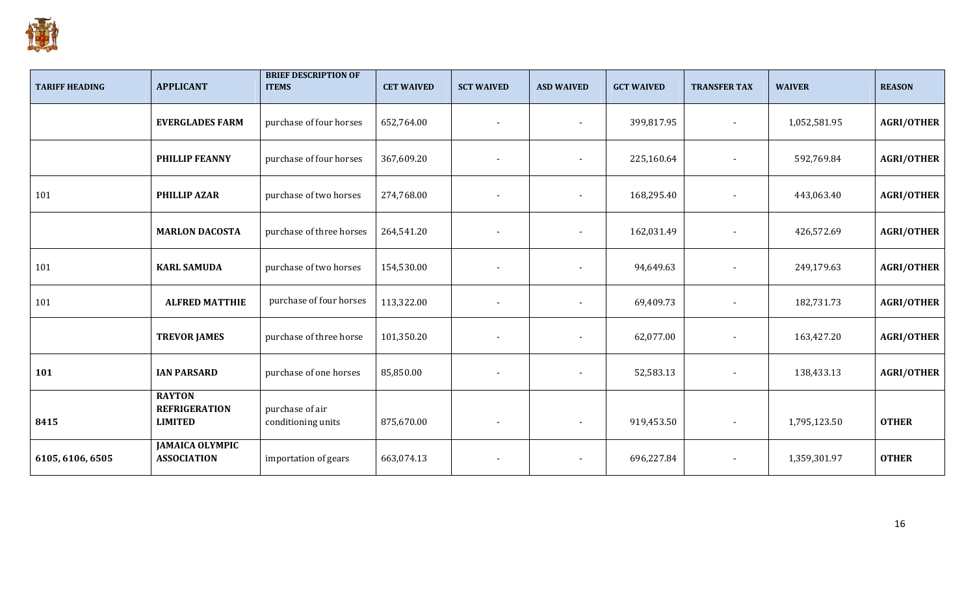

| <b>TARIFF HEADING</b> | <b>APPLICANT</b>                                        | <b>BRIEF DESCRIPTION OF</b><br><b>ITEMS</b> | <b>CET WAIVED</b> | <b>SCT WAIVED</b>        | <b>ASD WAIVED</b>        | <b>GCT WAIVED</b> | <b>TRANSFER TAX</b>      | <b>WAIVER</b> | <b>REASON</b>     |
|-----------------------|---------------------------------------------------------|---------------------------------------------|-------------------|--------------------------|--------------------------|-------------------|--------------------------|---------------|-------------------|
|                       | <b>EVERGLADES FARM</b>                                  | purchase of four horses                     | 652,764.00        |                          |                          | 399,817.95        |                          | 1,052,581.95  | <b>AGRI/OTHER</b> |
|                       | <b>PHILLIP FEANNY</b>                                   | purchase of four horses                     | 367,609.20        |                          |                          | 225,160.64        |                          | 592,769.84    | <b>AGRI/OTHER</b> |
| 101                   | <b>PHILLIP AZAR</b>                                     | purchase of two horses                      | 274,768.00        | $\overline{\phantom{a}}$ | $\overline{\phantom{a}}$ | 168,295.40        |                          | 443,063.40    | <b>AGRI/OTHER</b> |
|                       | <b>MARLON DACOSTA</b>                                   | purchase of three horses                    | 264,541.20        |                          | $\overline{\phantom{a}}$ | 162,031.49        | $\overline{\phantom{a}}$ | 426,572.69    | <b>AGRI/OTHER</b> |
| 101                   | <b>KARL SAMUDA</b>                                      | purchase of two horses                      | 154,530.00        |                          |                          | 94,649.63         |                          | 249,179.63    | <b>AGRI/OTHER</b> |
| 101                   | <b>ALFRED MATTHIE</b>                                   | purchase of four horses                     | 113,322.00        | $\overline{\phantom{a}}$ | $\overline{\phantom{a}}$ | 69,409.73         | $\overline{\phantom{a}}$ | 182,731.73    | <b>AGRI/OTHER</b> |
|                       | <b>TREVOR JAMES</b>                                     | purchase of three horse                     | 101,350.20        |                          |                          | 62,077.00         |                          | 163,427.20    | <b>AGRI/OTHER</b> |
| 101                   | <b>IAN PARSARD</b>                                      | purchase of one horses                      | 85,850.00         | $\overline{\phantom{a}}$ | $\blacksquare$           | 52,583.13         | $\overline{\phantom{a}}$ | 138,433.13    | <b>AGRI/OTHER</b> |
| 8415                  | <b>RAYTON</b><br><b>REFRIGERATION</b><br><b>LIMITED</b> | purchase of air<br>conditioning units       | 875,670.00        | $\overline{\phantom{a}}$ |                          | 919,453.50        | $\blacksquare$           | 1,795,123.50  | <b>OTHER</b>      |
| 6105, 6106, 6505      | <b>JAMAICA OLYMPIC</b><br><b>ASSOCIATION</b>            | importation of gears                        | 663,074.13        |                          |                          | 696,227.84        | $\blacksquare$           | 1,359,301.97  | <b>OTHER</b>      |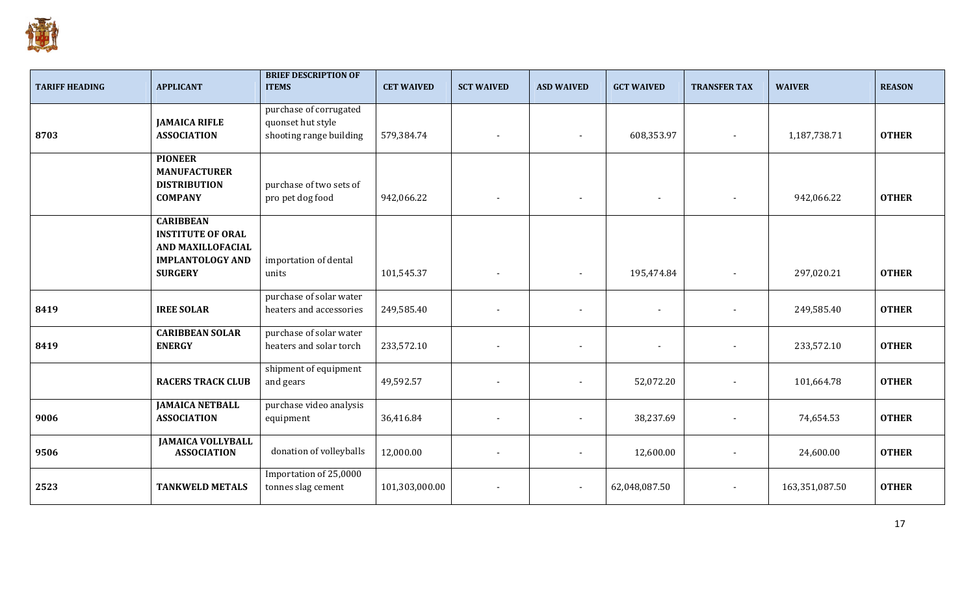

| <b>TARIFF HEADING</b> | <b>APPLICANT</b>                                                                                               | <b>BRIEF DESCRIPTION OF</b><br><b>ITEMS</b>                            | <b>CET WAIVED</b> | <b>SCT WAIVED</b>        | <b>ASD WAIVED</b>        | <b>GCT WAIVED</b>        | <b>TRANSFER TAX</b>      | <b>WAIVER</b>  | <b>REASON</b> |
|-----------------------|----------------------------------------------------------------------------------------------------------------|------------------------------------------------------------------------|-------------------|--------------------------|--------------------------|--------------------------|--------------------------|----------------|---------------|
| 8703                  | <b>JAMAICA RIFLE</b><br><b>ASSOCIATION</b>                                                                     | purchase of corrugated<br>quonset hut style<br>shooting range building | 579,384.74        |                          |                          | 608,353.97               | $\overline{\phantom{a}}$ | 1,187,738.71   | <b>OTHER</b>  |
|                       | <b>PIONEER</b><br><b>MANUFACTURER</b><br><b>DISTRIBUTION</b><br><b>COMPANY</b>                                 | purchase of two sets of<br>pro pet dog food                            | 942,066.22        | $\overline{\phantom{a}}$ | $\sim$                   | $\sim$                   | $\overline{\phantom{a}}$ | 942,066.22     | <b>OTHER</b>  |
|                       | <b>CARIBBEAN</b><br><b>INSTITUTE OF ORAL</b><br>AND MAXILLOFACIAL<br><b>IMPLANTOLOGY AND</b><br><b>SURGERY</b> | importation of dental<br>units                                         | 101,545.37        |                          |                          | 195,474.84               |                          | 297,020.21     | <b>OTHER</b>  |
| 8419                  | <b>IREE SOLAR</b>                                                                                              | purchase of solar water<br>heaters and accessories                     | 249,585.40        |                          |                          | $\overline{\phantom{a}}$ |                          | 249,585.40     | <b>OTHER</b>  |
| 8419                  | <b>CARIBBEAN SOLAR</b><br><b>ENERGY</b>                                                                        | purchase of solar water<br>heaters and solar torch                     | 233,572.10        |                          | $\blacksquare$           | $\blacksquare$           | $\overline{\phantom{a}}$ | 233,572.10     | <b>OTHER</b>  |
|                       | <b>RACERS TRACK CLUB</b>                                                                                       | shipment of equipment<br>and gears                                     | 49,592.57         |                          |                          | 52,072.20                |                          | 101,664.78     | <b>OTHER</b>  |
| 9006                  | <b>JAMAICA NETBALL</b><br><b>ASSOCIATION</b>                                                                   | purchase video analysis<br>equipment                                   | 36,416.84         |                          | $\overline{\phantom{a}}$ | 38,237.69                |                          | 74,654.53      | <b>OTHER</b>  |
| 9506                  | <b>JAMAICA VOLLYBALL</b><br><b>ASSOCIATION</b>                                                                 | donation of volleyballs                                                | 12,000.00         |                          |                          | 12,600.00                |                          | 24,600.00      | <b>OTHER</b>  |
| 2523                  | <b>TANKWELD METALS</b>                                                                                         | Importation of 25,0000<br>tonnes slag cement                           | 101,303,000.00    |                          | $\blacksquare$           | 62,048,087.50            | $\overline{\phantom{a}}$ | 163,351,087.50 | <b>OTHER</b>  |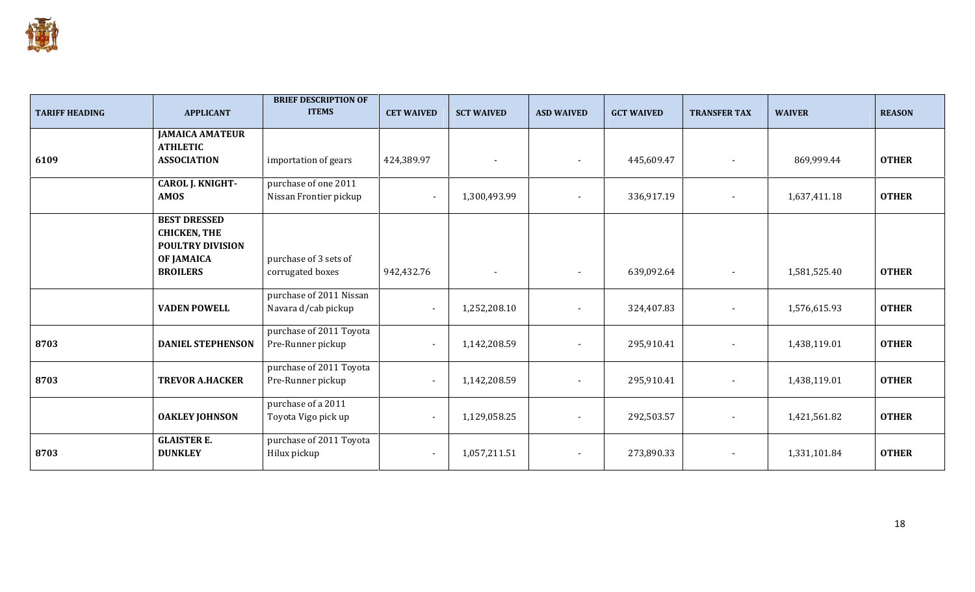

| <b>TARIFF HEADING</b> | <b>APPLICANT</b>                                                                           | <b>BRIEF DESCRIPTION OF</b><br><b>ITEMS</b>    | <b>CET WAIVED</b>        | <b>SCT WAIVED</b> | <b>ASD WAIVED</b> | <b>GCT WAIVED</b> | <b>TRANSFER TAX</b> | <b>WAIVER</b> | <b>REASON</b> |
|-----------------------|--------------------------------------------------------------------------------------------|------------------------------------------------|--------------------------|-------------------|-------------------|-------------------|---------------------|---------------|---------------|
|                       | <b>JAMAICA AMATEUR</b><br><b>ATHLETIC</b>                                                  |                                                |                          |                   |                   |                   |                     |               |               |
| 6109                  | <b>ASSOCIATION</b>                                                                         | importation of gears                           | 424,389.97               |                   | $\sim$            | 445,609.47        | $\overline{a}$      | 869,999.44    | <b>OTHER</b>  |
|                       | <b>CAROL J. KNIGHT-</b>                                                                    | purchase of one 2011                           |                          |                   |                   |                   |                     |               |               |
|                       | <b>AMOS</b>                                                                                | Nissan Frontier pickup                         |                          | 1,300,493.99      | $\sim$            | 336,917.19        |                     | 1,637,411.18  | <b>OTHER</b>  |
|                       | <b>BEST DRESSED</b><br><b>CHICKEN, THE</b><br><b>POULTRY DIVISION</b><br><b>OF JAMAICA</b> | purchase of 3 sets of                          |                          |                   |                   |                   |                     |               |               |
|                       | <b>BROILERS</b>                                                                            | corrugated boxes                               | 942,432.76               |                   |                   | 639,092.64        |                     | 1,581,525.40  | <b>OTHER</b>  |
|                       | <b>VADEN POWELL</b>                                                                        | purchase of 2011 Nissan<br>Navara d/cab pickup | $\overline{\phantom{a}}$ | 1,252,208.10      |                   | 324,407.83        |                     | 1,576,615.93  | <b>OTHER</b>  |
| 8703                  | <b>DANIEL STEPHENSON</b>                                                                   | purchase of 2011 Toyota<br>Pre-Runner pickup   | $\blacksquare$           | 1,142,208.59      | $\sim$            | 295,910.41        | $\blacksquare$      | 1,438,119.01  | <b>OTHER</b>  |
| 8703                  | <b>TREVOR A.HACKER</b>                                                                     | purchase of 2011 Toyota<br>Pre-Runner pickup   |                          | 1,142,208.59      | $\sim$            | 295,910.41        |                     | 1,438,119.01  | <b>OTHER</b>  |
|                       | <b>OAKLEY JOHNSON</b>                                                                      | purchase of a 2011<br>Toyota Vigo pick up      |                          | 1,129,058.25      |                   | 292,503.57        |                     | 1,421,561.82  | <b>OTHER</b>  |
| 8703                  | <b>GLAISTER E.</b><br><b>DUNKLEY</b>                                                       | purchase of 2011 Toyota<br>Hilux pickup        | $\overline{\phantom{a}}$ | 1,057,211.51      | $\sim$            | 273,890.33        | $\blacksquare$      | 1,331,101.84  | <b>OTHER</b>  |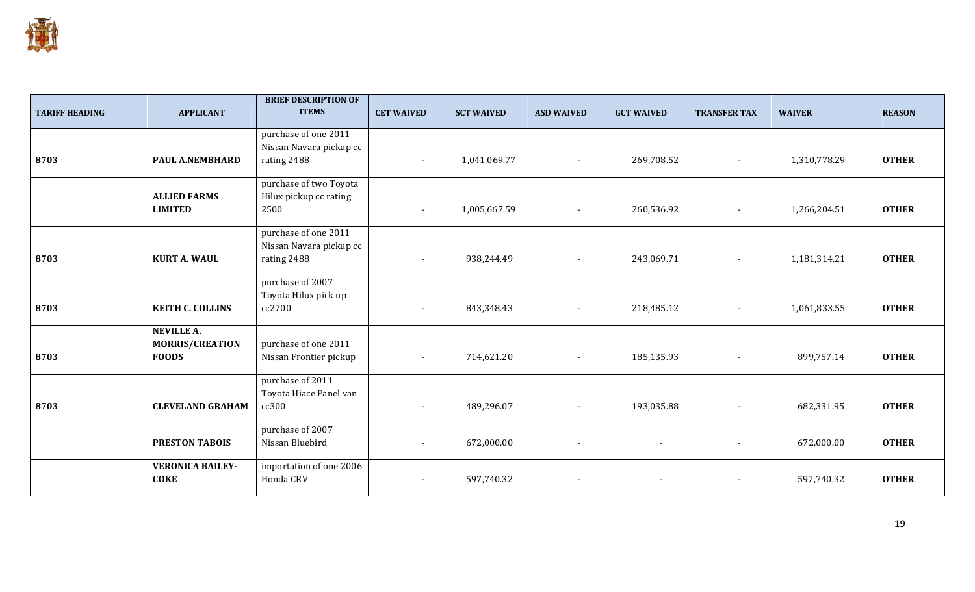

| <b>TARIFF HEADING</b> | <b>APPLICANT</b>                                     | <b>BRIEF DESCRIPTION OF</b><br><b>ITEMS</b>                    | <b>CET WAIVED</b>        | <b>SCT WAIVED</b> | <b>ASD WAIVED</b>        | <b>GCT WAIVED</b>        | <b>TRANSFER TAX</b>      | <b>WAIVER</b> | <b>REASON</b> |
|-----------------------|------------------------------------------------------|----------------------------------------------------------------|--------------------------|-------------------|--------------------------|--------------------------|--------------------------|---------------|---------------|
| 8703                  | PAUL A.NEMBHARD                                      | purchase of one 2011<br>Nissan Navara pickup cc<br>rating 2488 | $\sim$                   | 1,041,069.77      | $\sim$                   | 269,708.52               | $\overline{\phantom{a}}$ | 1,310,778.29  | <b>OTHER</b>  |
|                       | <b>ALLIED FARMS</b><br><b>LIMITED</b>                | purchase of two Toyota<br>Hilux pickup cc rating<br>2500       | $\overline{\phantom{a}}$ | 1,005,667.59      | $\blacksquare$           | 260,536.92               | $\overline{\phantom{a}}$ | 1,266,204.51  | <b>OTHER</b>  |
| 8703                  | <b>KURT A. WAUL</b>                                  | purchase of one 2011<br>Nissan Navara pickup cc<br>rating 2488 |                          | 938,244.49        | $\overline{\phantom{a}}$ | 243,069.71               | $\overline{\phantom{a}}$ | 1,181,314.21  | <b>OTHER</b>  |
| 8703                  | <b>KEITH C. COLLINS</b>                              | purchase of 2007<br>Toyota Hilux pick up<br>cc2700             | $\sim$                   | 843,348.43        | $\blacksquare$           | 218,485.12               | $\sim$                   | 1,061,833.55  | <b>OTHER</b>  |
| 8703                  | <b>NEVILLE A.</b><br>MORRIS/CREATION<br><b>FOODS</b> | purchase of one 2011<br>Nissan Frontier pickup                 | $\overline{\phantom{a}}$ | 714,621.20        | $\overline{\phantom{a}}$ | 185,135.93               | $\overline{\phantom{a}}$ | 899,757.14    | <b>OTHER</b>  |
| 8703                  | <b>CLEVELAND GRAHAM</b>                              | purchase of 2011<br>Toyota Hiace Panel van<br>cc300            |                          | 489,296.07        | $\overline{\phantom{a}}$ | 193,035.88               | $\overline{\phantom{a}}$ | 682,331.95    | <b>OTHER</b>  |
|                       | <b>PRESTON TABOIS</b>                                | purchase of 2007<br>Nissan Bluebird                            | $\overline{\phantom{a}}$ | 672,000.00        | $\overline{\phantom{a}}$ | $\blacksquare$           |                          | 672,000.00    | <b>OTHER</b>  |
|                       | <b>VERONICA BAILEY-</b><br><b>COKE</b>               | importation of one 2006<br>Honda CRV                           | $\overline{\phantom{a}}$ | 597,740.32        | $\overline{\phantom{a}}$ | $\overline{\phantom{a}}$ | $\overline{\phantom{a}}$ | 597,740.32    | <b>OTHER</b>  |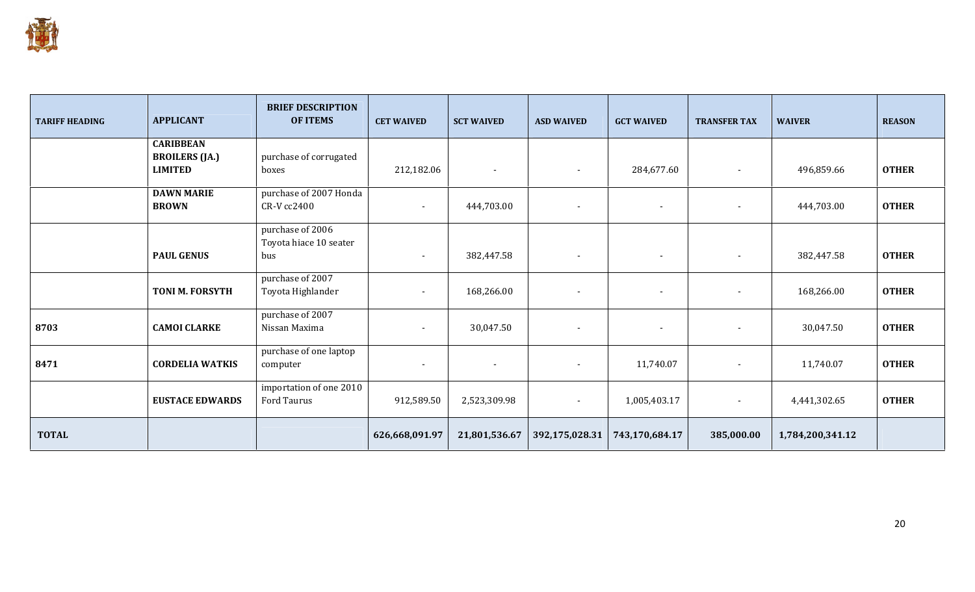

| <b>TARIFF HEADING</b> | <b>APPLICANT</b>                        | <b>BRIEF DESCRIPTION</b><br><b>OF ITEMS</b> |                          | <b>SCT WAIVED</b>        | <b>ASD WAIVED</b>        | <b>GCT WAIVED</b>        | <b>TRANSFER TAX</b>      | <b>WAIVER</b>    | <b>REASON</b> |
|-----------------------|-----------------------------------------|---------------------------------------------|--------------------------|--------------------------|--------------------------|--------------------------|--------------------------|------------------|---------------|
|                       | <b>CARIBBEAN</b>                        |                                             |                          |                          |                          |                          |                          |                  |               |
|                       | <b>BROILERS (JA.)</b><br><b>LIMITED</b> | purchase of corrugated<br>boxes             | 212,182.06               | $\overline{\phantom{a}}$ | $\sim$                   | 284,677.60               | $\blacksquare$           | 496,859.66       | <b>OTHER</b>  |
|                       | <b>DAWN MARIE</b><br><b>BROWN</b>       | purchase of 2007 Honda<br>CR-V cc2400       | $\sim$                   | 444,703.00               | $\blacksquare$           | $\blacksquare$           | $\overline{\phantom{a}}$ | 444,703.00       | <b>OTHER</b>  |
|                       |                                         | purchase of 2006                            |                          |                          |                          |                          |                          |                  |               |
|                       | <b>PAUL GENUS</b>                       | Toyota hiace 10 seater<br>bus               | $\overline{\phantom{a}}$ | 382,447.58               | $\sim$                   | $\blacksquare$           | $\blacksquare$           | 382,447.58       | <b>OTHER</b>  |
|                       | <b>TONI M. FORSYTH</b>                  | purchase of 2007<br>Toyota Highlander       | $\sim$                   | 168,266.00               | $\sim$                   | $\overline{\phantom{a}}$ | $\overline{\phantom{a}}$ | 168,266.00       | <b>OTHER</b>  |
| 8703                  | <b>CAMOI CLARKE</b>                     | purchase of 2007<br>Nissan Maxima           | $\overline{\phantom{a}}$ | 30,047.50                | $\overline{\phantom{a}}$ | $\overline{\phantom{a}}$ |                          | 30,047.50        | <b>OTHER</b>  |
| 8471                  | <b>CORDELIA WATKIS</b>                  | purchase of one laptop<br>computer          | $\blacksquare$           | $\overline{\phantom{a}}$ | $\overline{\phantom{0}}$ | 11,740.07                |                          | 11,740.07        | <b>OTHER</b>  |
|                       | <b>EUSTACE EDWARDS</b>                  | importation of one 2010<br>Ford Taurus      | 912,589.50               | 2,523,309.98             | $\blacksquare$           | 1,005,403.17             | $\overline{\phantom{a}}$ | 4,441,302.65     | <b>OTHER</b>  |
| <b>TOTAL</b>          |                                         |                                             | 626,668,091.97           | 21,801,536.67            | 392,175,028.31           | 743,170,684.17           | 385,000.00               | 1,784,200,341.12 |               |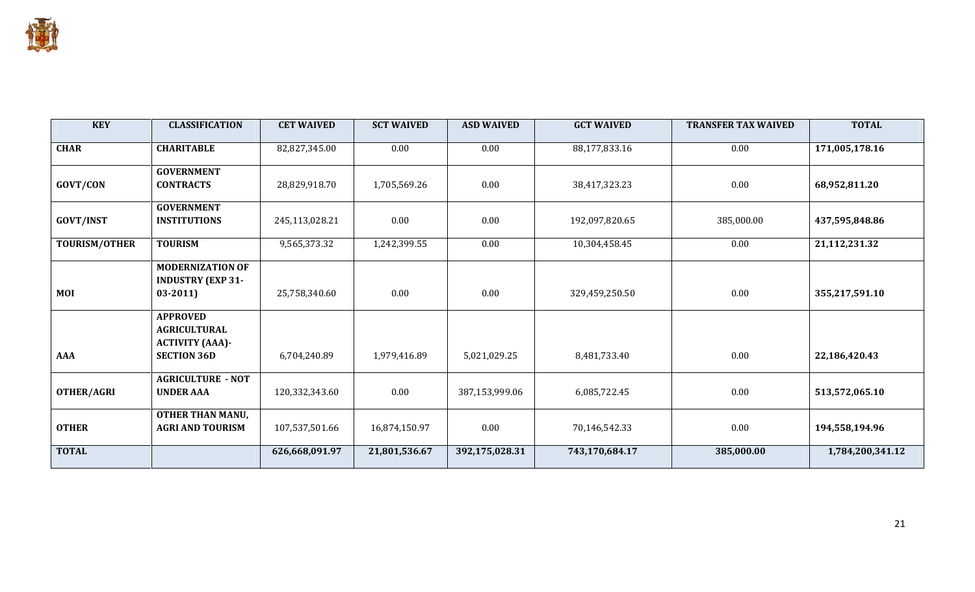

| <b>KEY</b>           | <b>CLASSIFICATION</b>                                                                  | <b>CET WAIVED</b> | <b>SCT WAIVED</b> | <b>ASD WAIVED</b> | <b>GCT WAIVED</b> | <b>TRANSFER TAX WAIVED</b> | <b>TOTAL</b>     |
|----------------------|----------------------------------------------------------------------------------------|-------------------|-------------------|-------------------|-------------------|----------------------------|------------------|
| <b>CHAR</b>          | <b>CHARITABLE</b>                                                                      | 82,827,345.00     | 0.00              | 0.00              | 88,177,833.16     | 0.00                       | 171,005,178.16   |
| GOVT/CON             | <b>GOVERNMENT</b><br><b>CONTRACTS</b>                                                  | 28,829,918.70     | 1,705,569.26      | 0.00              | 38,417,323.23     | 0.00                       | 68,952,811.20    |
| <b>GOVT/INST</b>     | <b>GOVERNMENT</b><br><b>INSTITUTIONS</b>                                               | 245,113,028.21    | 0.00              | 0.00              | 192,097,820.65    | 385,000.00                 | 437,595,848.86   |
| <b>TOURISM/OTHER</b> | <b>TOURISM</b>                                                                         | 9,565,373.32      | 1,242,399.55      | 0.00              | 10,304,458.45     | 0.00                       | 21,112,231.32    |
| <b>MOI</b>           | <b>MODERNIZATION OF</b><br><b>INDUSTRY (EXP 31-</b><br>$03-2011$                       | 25,758,340.60     | 0.00              | 0.00              | 329,459,250.50    | 0.00                       | 355,217,591.10   |
| <b>AAA</b>           | <b>APPROVED</b><br><b>AGRICULTURAL</b><br><b>ACTIVITY (AAA)-</b><br><b>SECTION 36D</b> | 6,704,240.89      | 1,979,416.89      | 5,021,029.25      | 8,481,733.40      | 0.00                       | 22,186,420.43    |
| <b>OTHER/AGRI</b>    | <b>AGRICULTURE - NOT</b><br><b>UNDER AAA</b>                                           | 120,332,343.60    | 0.00              | 387,153,999.06    | 6,085,722.45      | 0.00                       | 513,572,065.10   |
| <b>OTHER</b>         | <b>OTHER THAN MANU,</b><br><b>AGRI AND TOURISM</b>                                     | 107,537,501.66    | 16,874,150.97     | 0.00              | 70,146,542.33     | 0.00                       | 194,558,194.96   |
| <b>TOTAL</b>         |                                                                                        | 626,668,091.97    | 21,801,536.67     | 392,175,028.31    | 743,170,684.17    | 385,000.00                 | 1,784,200,341.12 |

and the company's company's company's